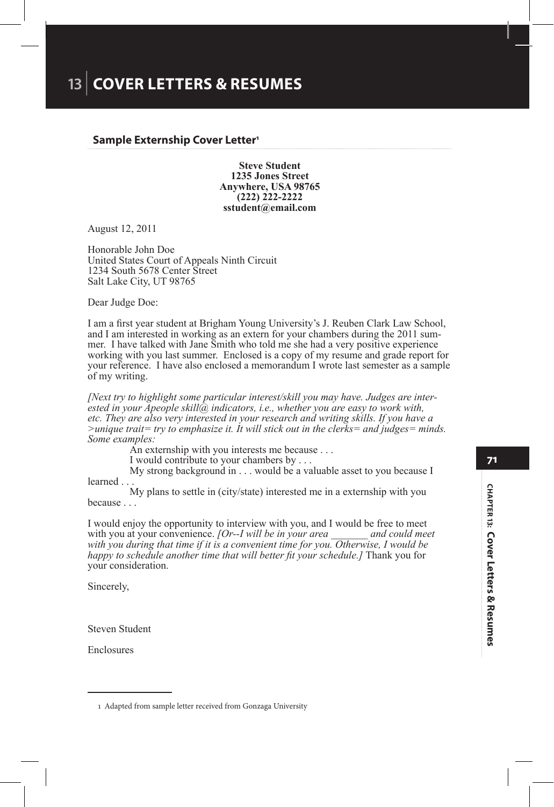# **Sample Externship Cover Letter1**

# **Steve Student 1235 Jones Street Anywhere, USA 98765 (222) 222-2222 sstudent@email.com**

August 12, 2011

Honorable John Doe United States Court of Appeals Ninth Circuit 1234 South 5678 Center Street Salt Lake City, UT 98765

Dear Judge Doe:

I am a first year student at Brigham Young University's J. Reuben Clark Law School, and I am interested in working as an extern for your chambers during the 2011 summer. I have talked with Jane Smith who told me she had a very positive experience working with you last summer. Enclosed is a copy of my resume and grade report for your reference. I have also enclosed a memorandum I wrote last semester as a sample of my writing.

*[Next try to highlight some particular interest/skill you may have. Judges are interested in your Apeople skill@ indicators, i.e., whether you are easy to work with, etc. They are also very interested in your research and writing skills. If you have a >unique trait= try to emphasize it. It will stick out in the clerks= and judges= minds. Some examples:*

An externship with you interests me because . . .

I would contribute to your chambers by . . .

My strong background in . . . would be a valuable asset to you because I learned.

My plans to settle in (city/state) interested me in a externship with you because . . .

I would enjoy the opportunity to interview with you, and I would be free to meet with you at your convenience. *[Or--I will be in your area* and could meet *with you during that time if it is a convenient time for you. Otherwise, I would be happy to schedule another time that will better fit your schedule.]* Thank you for your consideration.

Sincerely,

Steven Student

Enclosures

<sup>1</sup> Adapted from sample letter received from Gonzaga University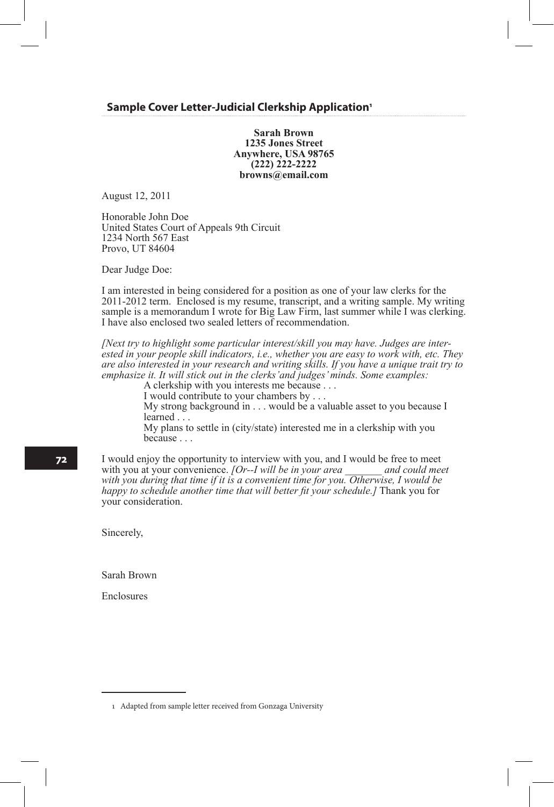# **Sample Cover Letter-Judicial Clerkship Application1**

**Sarah Brown 1235 Jones Street Anywhere, USA 98765 (222) 222-2222 browns@email.com**

August 12, 2011

Honorable John Doe United States Court of Appeals 9th Circuit 1234 North 567 East Provo, UT 84604

Dear Judge Doe:

I am interested in being considered for a position as one of your law clerks for the 2011-2012 term. Enclosed is my resume, transcript, and a writing sample. My writing sample is a memorandum I wrote for Big Law Firm, last summer while I was clerking. I have also enclosed two sealed letters of recommendation.

*[Next try to highlight some particular interest/skill you may have. Judges are interested in your people skill indicators, i.e., whether you are easy to work with, etc. They are also interested in your research and writing skills. If you have a unique trait try to emphasize it. It will stick out in the clerks'and judges' minds. Some examples:*

A clerkship with you interests me because . . . I would contribute to your chambers by . . .

My strong background in . . . would be a valuable asset to you because I learned . . .

My plans to settle in (city/state) interested me in a clerkship with you because . . .

I would enjoy the opportunity to interview with you, and I would be free to meet with you at your convenience. *[Or--I will be in your area* and could meet with you at your convenience. *[Or--I will be in your area with you during that time if it is a convenient time for you. Otherwise, I would be happy to schedule another time that will better fit your schedule.]* Thank you for your consideration.

Sincerely,

Sarah Brown

Enclosures

<sup>1</sup> Adapted from sample letter received from Gonzaga University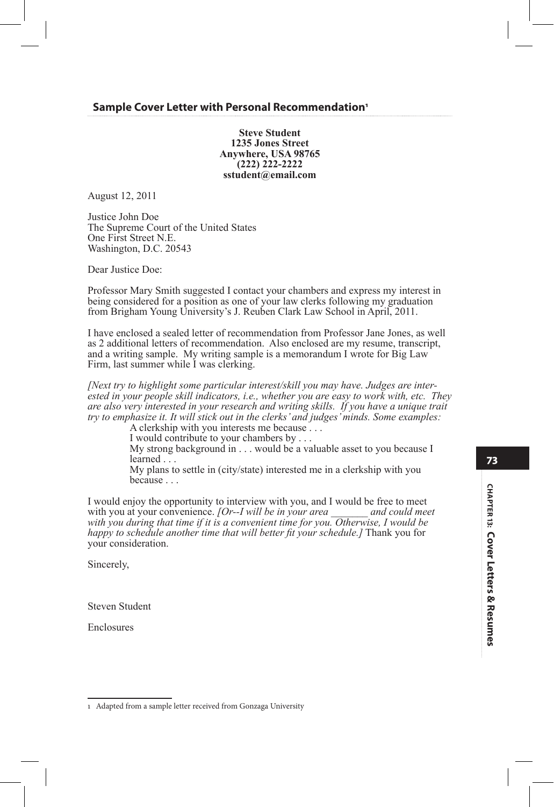# **Sample Cover Letter with Personal Recommendation1**

**Steve Student 1235 Jones Street Anywhere, USA 98765 (222) 222-2222 sstudent@email.com**

August 12, 2011

Justice John Doe The Supreme Court of the United States One First Street N.E. Washington, D.C. 20543

Dear Justice Doe:

Professor Mary Smith suggested I contact your chambers and express my interest in being considered for a position as one of your law clerks following my graduation from Brigham Young University's J. Reuben Clark Law School in April, 2011.

I have enclosed a sealed letter of recommendation from Professor Jane Jones, as well as 2 additional letters of recommendation. Also enclosed are my resume, transcript, and a writing sample. My writing sample is a memorandum I wrote for Big Law Firm, last summer while I was clerking.

*[Next try to highlight some particular interest/skill you may have. Judges are interested in your people skill indicators, i.e., whether you are easy to work with, etc. They are also very interested in your research and writing skills. If you have a unique trait try to emphasize it. It will stick out in the clerks' and judges' minds. Some examples:*

A clerkship with you interests me because . . .

I would contribute to your chambers by . . . My strong background in . . . would be a valuable asset to you because I

learned . . . My plans to settle in (city/state) interested me in a clerkship with you because . . .

I would enjoy the opportunity to interview with you, and I would be free to meet with you at your convenience. *[Or--I will be in your area* and could meet with you at your convenience. *[Or--I will be in your area with you during that time if it is a convenient time for you. Otherwise, I would be happy to schedule another time that will better fit your schedule.]* Thank you for your consideration.

Sincerely,

Steven Student

Enclosures

**73**

<sup>1</sup> Adapted from a sample letter received from Gonzaga University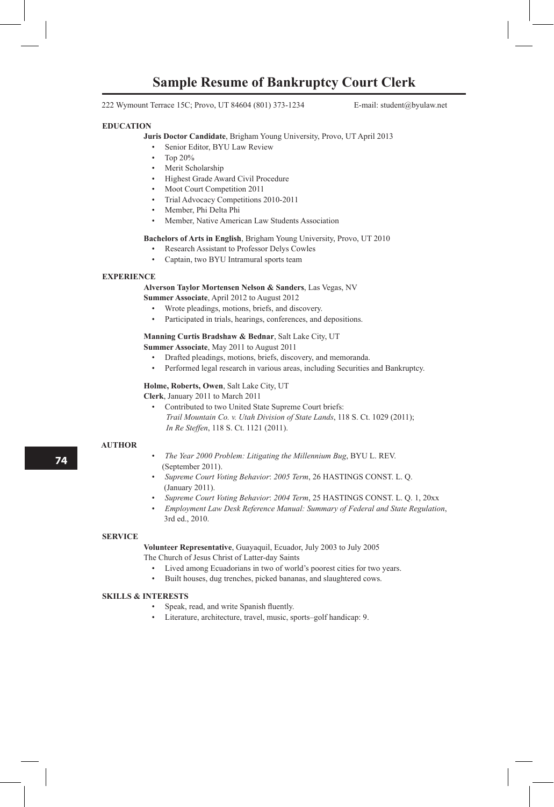# **Sample Resume of Bankruptcy Court Clerk**

222 Wymount Terrace 15C; Provo, UT 84604 (801) 373-1234 E-mail: student@byulaw.net

#### **EDUCATION**

## **Juris Doctor Candidate**, Brigham Young University, Provo, UT April 2013

- Senior Editor, BYU Law Review
- Top 20%
- Merit Scholarship
- Highest Grade Award Civil Procedure
- Moot Court Competition 2011
- Trial Advocacy Competitions 2010-2011
- Member, Phi Delta Phi
- Member, Native American Law Students Association

#### **Bachelors of Arts in English**, Brigham Young University, Provo, UT 2010

- Research Assistant to Professor Delys Cowles
- Captain, two BYU Intramural sports team

### **EXPERIENCE**

**Alverson Taylor Mortensen Nelson & Sanders**, Las Vegas, NV

- **Summer Associate**, April 2012 to August 2012
	- Wrote pleadings, motions, briefs, and discovery.
	- Participated in trials, hearings, conferences, and depositions.

## **Manning Curtis Bradshaw & Bednar**, Salt Lake City, UT

**Summer Associate**, May 2011 to August 2011

- Drafted pleadings, motions, briefs, discovery, and memoranda.
- Performed legal research in various areas, including Securities and Bankruptcy.

**Holme, Roberts, Owen**, Salt Lake City, UT

**Clerk**, January 2011 to March 2011

 • Contributed to two United State Supreme Court briefs: *Trail Mountain Co. v. Utah Division of State Lands*, 118 S. Ct. 1029 (2011); *In Re Steffen*, 118 S. Ct. 1121 (2011).

#### **AUTHOR**

- *The Year 2000 Problem: Litigating the Millennium Bug*, BYU L. REV. (September 2011).
- *Supreme Court Voting Behavior*: *2005 Term*, 26 HASTINGS CONST. L. Q. (January 2011).
- *Supreme Court Voting Behavior*: *2004 Term*, 25 HASTINGS CONST. L. Q. 1, 20xx
- *Employment Law Desk Reference Manual: Summary of Federal and State Regulation*, 3rd ed., 2010.

#### **SERVICE**

**Volunteer Representative**, Guayaquil, Ecuador, July 2003 to July 2005

The Church of Jesus Christ of Latter-day Saints

- Lived among Ecuadorians in two of world's poorest cities for two years.
- Built houses, dug trenches, picked bananas, and slaughtered cows.

#### **SKILLS & INTERESTS**

- Speak, read, and write Spanish fluently.
- Literature, architecture, travel, music, sports–golf handicap: 9.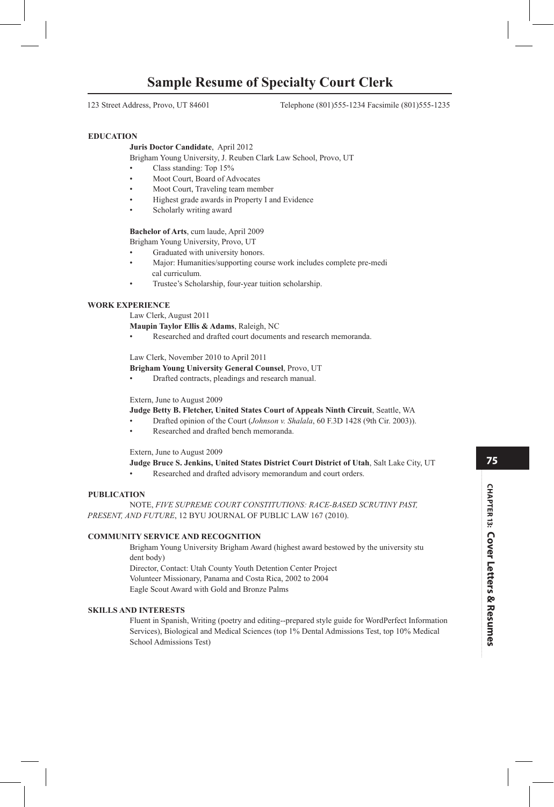# **Sample Resume of Specialty Court Clerk**

123 Street Address, Provo, UT 84601 Telephone (801)555-1234 Facsimile (801)555-1235

## **EDUCATION**

## **Juris Doctor Candidate**, April 2012

Brigham Young University, J. Reuben Clark Law School, Provo, UT

- Class standing: Top 15%
- Moot Court, Board of Advocates
- Moot Court, Traveling team member
- Highest grade awards in Property I and Evidence
- Scholarly writing award

### **Bachelor of Arts**, cum laude, April 2009

Brigham Young University, Provo, UT

- Graduated with university honors.
- Major: Humanities/supporting course work includes complete pre-medi cal curriculum.
- Trustee's Scholarship, four-year tuition scholarship.

# **WORK EXPERIENCE**

Law Clerk, August 2011 **Maupin Taylor Ellis & Adams**, Raleigh, NC

• Researched and drafted court documents and research memoranda.

## Law Clerk, November 2010 to April 2011

- **Brigham Young University General Counsel**, Provo, UT
- Drafted contracts, pleadings and research manual.

#### Extern, June to August 2009

# **Judge Betty B. Fletcher, United States Court of Appeals Ninth Circuit**, Seattle, WA

- Drafted opinion of the Court (*Johnson v. Shalala*, 60 F.3D 1428 (9th Cir. 2003)).
- Researched and drafted bench memoranda.

Extern, June to August 2009

## **Judge Bruce S. Jenkins, United States District Court District of Utah**, Salt Lake City, UT

Researched and drafted advisory memorandum and court orders.

## **PUBLICATION**

NOTE, *FIVE SUPREME COURT CONSTITUTIONS: RACE-BASED SCRUTINY PAST, PRESENT, AND FUTURE*, 12 BYU JOURNAL OF PUBLIC LAW 167 (2010).

## **COMMUNITY SERVICE AND RECOGNITION**

Brigham Young University Brigham Award (highest award bestowed by the university stu dent body) Director, Contact: Utah County Youth Detention Center Project

Volunteer Missionary, Panama and Costa Rica, 2002 to 2004 Eagle Scout Award with Gold and Bronze Palms

## **SKILLS AND INTERESTS**

Fluent in Spanish, Writing (poetry and editing--prepared style guide for WordPerfect Information Services), Biological and Medical Sciences (top 1% Dental Admissions Test, top 10% Medical School Admissions Test)

CHAPTER 13: Cover Letters & Resumes **CHAPTER 13: Cover Letters & Resumes**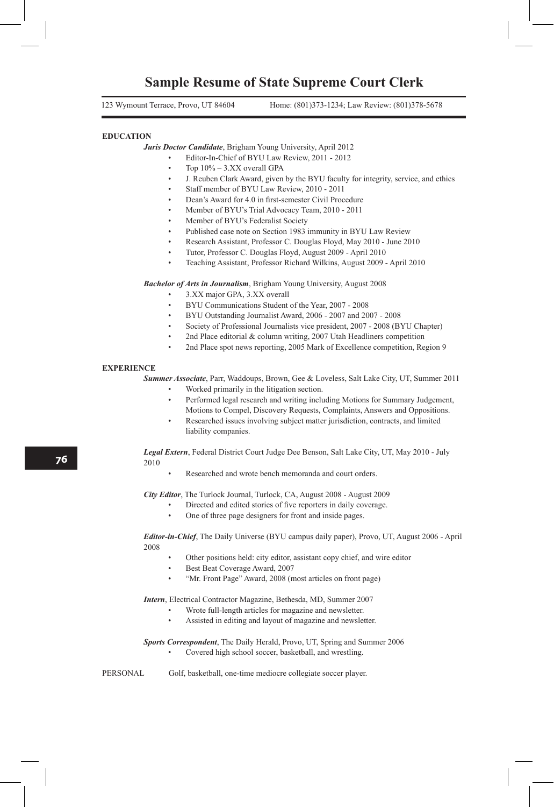# **Sample Resume of State Supreme Court Clerk**

123 Wymount Terrace, Provo, UT 84604 Home: (801)373-1234; Law Review: (801)378-5678

#### **EDUCATION**

*Juris Doctor Candidate*, Brigham Young University, April 2012

- Editor-In-Chief of BYU Law Review, 2011 2012
- Top  $10\% 3.XX$  overall GPA
- J. Reuben Clark Award, given by the BYU faculty for integrity, service, and ethics
- Staff member of BYU Law Review, 2010 2011
- Dean's Award for 4.0 in first-semester Civil Procedure
- Member of BYU's Trial Advocacy Team, 2010 2011
- Member of BYU's Federalist Society
- Published case note on Section 1983 immunity in BYU Law Review
- Research Assistant, Professor C. Douglas Floyd, May 2010 June 2010
- Tutor, Professor C. Douglas Floyd, August 2009 April 2010
- Teaching Assistant, Professor Richard Wilkins, August 2009 April 2010

*Bachelor of Arts in Journalism*, Brigham Young University, August 2008

- 3.XX major GPA, 3.XX overall
- BYU Communications Student of the Year, 2007 2008
- BYU Outstanding Journalist Award, 2006 2007 and 2007 2008
- Society of Professional Journalists vice president, 2007 2008 (BYU Chapter)
- 2nd Place editorial & column writing, 2007 Utah Headliners competition
- 2nd Place spot news reporting, 2005 Mark of Excellence competition, Region 9

#### **EXPERIENCE**

*Summer Associate*, Parr, Waddoups, Brown, Gee & Loveless, Salt Lake City, UT, Summer 2011

- Worked primarily in the litigation section.
- Performed legal research and writing including Motions for Summary Judgement, Motions to Compel, Discovery Requests, Complaints, Answers and Oppositions.
- Researched issues involving subject matter jurisdiction, contracts, and limited liability companies.

*Legal Extern*, Federal District Court Judge Dee Benson, Salt Lake City, UT, May 2010 - July 2010

Researched and wrote bench memoranda and court orders.

*City Editor*, The Turlock Journal, Turlock, CA, August 2008 - August 2009

- Directed and edited stories of five reporters in daily coverage.
- One of three page designers for front and inside pages.

*Editor-in-Chief*, The Daily Universe (BYU campus daily paper), Provo, UT, August 2006 - April 2008

- Other positions held: city editor, assistant copy chief, and wire editor
- Best Beat Coverage Award, 2007
- "Mr. Front Page" Award, 2008 (most articles on front page)

*Intern*, Electrical Contractor Magazine, Bethesda, MD, Summer 2007

- Wrote full-length articles for magazine and newsletter.
- Assisted in editing and layout of magazine and newsletter.

*Sports Correspondent*, The Daily Herald, Provo, UT, Spring and Summer 2006 • Covered high school soccer, basketball, and wrestling.

PERSONAL Golf, basketball, one-time mediocre collegiate soccer player.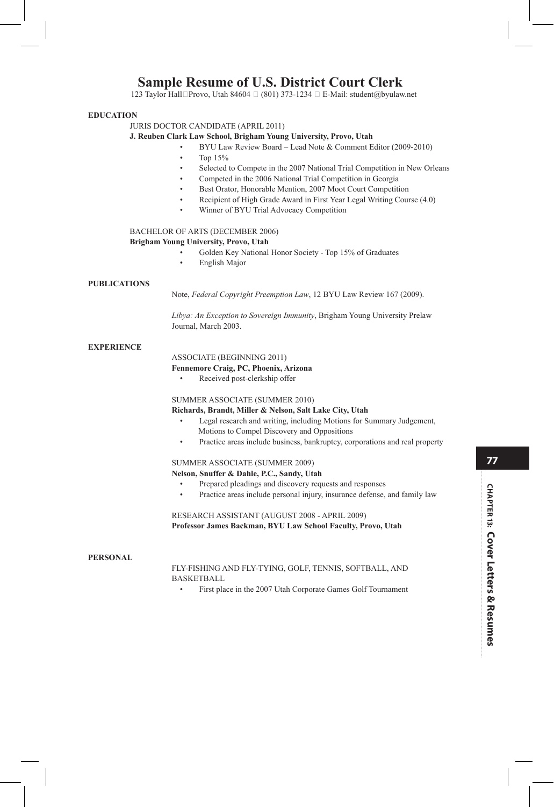# **Sample Resume of U.S. District Court Clerk**

123 Taylor Hall Provo, Utah 84604  $\Box$  (801) 373-1234  $\Box$  E-Mail: student@byulaw.net

### **EDUCATION**

## JURIS DOCTOR CANDIDATE (APRIL 2011)

# **J. Reuben Clark Law School, Brigham Young University, Provo, Utah**

- BYU Law Review Board Lead Note & Comment Editor (2009-2010)
- Top 15%
- Selected to Compete in the 2007 National Trial Competition in New Orleans
- Competed in the 2006 National Trial Competition in Georgia
- Best Orator, Honorable Mention, 2007 Moot Court Competition
- Recipient of High Grade Award in First Year Legal Writing Course (4.0)
- Winner of BYU Trial Advocacy Competition

### BACHELOR OF ARTS (DECEMBER 2006) **Brigham Young University, Provo, Utah**

- Golden Key National Honor Society Top 15% of Graduates
- English Major

## **PUBLICATIONS**

Note, *Federal Copyright Preemption Law*, 12 BYU Law Review 167 (2009).

 *Libya: An Exception to Sovereign Immunity*, Brigham Young University Prelaw Journal, March 2003.

## **EXPERIENCE**

### ASSOCIATE (BEGINNING 2011)

- **Fennemore Craig, PC, Phoenix, Arizona**
- Received post-clerkship offer

# SUMMER ASSOCIATE (SUMMER 2010)

# **Richards, Brandt, Miller & Nelson, Salt Lake City, Utah**

- Legal research and writing, including Motions for Summary Judgement, Motions to Compel Discovery and Oppositions
- Practice areas include business, bankruptcy, corporations and real property

# SUMMER ASSOCIATE (SUMMER 2009)

## **Nelson, Snuffer & Dahle, P.C., Sandy, Utah**

- Prepared pleadings and discovery requests and responses
- Practice areas include personal injury, insurance defense, and family law

# RESEARCH ASSISTANT (AUGUST 2008 - APRIL 2009) **Professor James Backman, BYU Law School Faculty, Provo, Utah**

# **PERSONAL**

## FLY-FISHING AND FLY-TYING, GOLF, TENNIS, SOFTBALL, AND BASKETBALL

• First place in the 2007 Utah Corporate Games Golf Tournament

**77**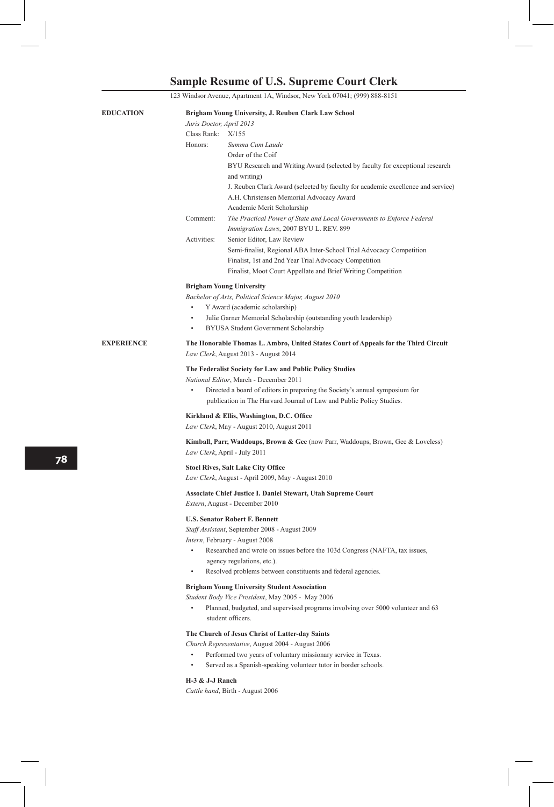|                  |                                                                                     | 123 Windsor Avenue, Apartment 1A, Windsor, New York 07041; (999) 888-8151        |
|------------------|-------------------------------------------------------------------------------------|----------------------------------------------------------------------------------|
| <b>EDUCATION</b> | Brigham Young University, J. Reuben Clark Law School                                |                                                                                  |
|                  | Juris Doctor, April 2013                                                            |                                                                                  |
|                  | Class Rank: X/155                                                                   |                                                                                  |
|                  | Honors:                                                                             | Summa Cum Laude                                                                  |
|                  |                                                                                     | Order of the Coif                                                                |
|                  |                                                                                     | BYU Research and Writing Award (selected by faculty for exceptional research     |
|                  |                                                                                     | and writing)                                                                     |
|                  |                                                                                     | J. Reuben Clark Award (selected by faculty for academic excellence and service)  |
|                  |                                                                                     | A.H. Christensen Memorial Advocacy Award                                         |
|                  |                                                                                     | Academic Merit Scholarship                                                       |
|                  | Comment:                                                                            | The Practical Power of State and Local Governments to Enforce Federal            |
|                  |                                                                                     | Immigration Laws, 2007 BYU L. REV. 899                                           |
|                  | Activities:                                                                         | Senior Editor, Law Review                                                        |
|                  |                                                                                     | Semi-finalist, Regional ABA Inter-School Trial Advocacy Competition              |
|                  |                                                                                     | Finalist, 1st and 2nd Year Trial Advocacy Competition                            |
|                  |                                                                                     | Finalist, Moot Court Appellate and Brief Writing Competition                     |
|                  |                                                                                     | <b>Brigham Young University</b>                                                  |
|                  | Bachelor of Arts, Political Science Major, August 2010                              |                                                                                  |
|                  |                                                                                     | Y Award (academic scholarship)                                                   |
|                  |                                                                                     | Julie Garner Memorial Scholarship (outstanding youth leadership)                 |
|                  |                                                                                     | BYUSA Student Government Scholarship                                             |
|                  |                                                                                     |                                                                                  |
| EXPERIENCE       | The Honorable Thomas L. Ambro, United States Court of Appeals for the Third Circuit |                                                                                  |
|                  | Law Clerk, August 2013 - August 2014                                                |                                                                                  |
|                  | The Federalist Society for Law and Public Policy Studies                            |                                                                                  |
|                  | National Editor, March - December 2011                                              |                                                                                  |
|                  |                                                                                     | Directed a board of editors in preparing the Society's annual symposium for      |
|                  |                                                                                     | publication in The Harvard Journal of Law and Public Policy Studies.             |
|                  |                                                                                     | Kirkland & Ellis, Washington, D.C. Office                                        |
|                  | Law Clerk, May - August 2010, August 2011                                           |                                                                                  |
|                  |                                                                                     |                                                                                  |
|                  |                                                                                     | Kimball, Parr, Waddoups, Brown & Gee (now Parr, Waddoups, Brown, Gee & Loveless) |
|                  |                                                                                     | Law Clerk, April - July 2011                                                     |
|                  |                                                                                     | <b>Stoel Rives, Salt Lake City Office</b>                                        |
|                  |                                                                                     | Law Clerk, August - April 2009, May - August 2010                                |
|                  |                                                                                     | Associate Chief Justice I. Daniel Stewart, Utah Supreme Court                    |
|                  |                                                                                     |                                                                                  |
|                  |                                                                                     | Extern, August - December 2010                                                   |
|                  |                                                                                     | <b>U.S. Senator Robert F. Bennett</b>                                            |
|                  | Staff Assistant, September 2008 - August 2009                                       |                                                                                  |
|                  |                                                                                     | Intern, February - August 2008                                                   |
|                  |                                                                                     | Researched and wrote on issues before the 103d Congress (NAFTA, tax issues,      |
|                  |                                                                                     | agency regulations, etc.).                                                       |
|                  |                                                                                     | Resolved problems between constituents and federal agencies.                     |
|                  | <b>Brigham Young University Student Association</b>                                 |                                                                                  |
|                  | Student Body Vice President, May 2005 - May 2006                                    |                                                                                  |
|                  |                                                                                     | Planned, budgeted, and supervised programs involving over 5000 volunteer and 63  |
|                  |                                                                                     | student officers.                                                                |
|                  |                                                                                     |                                                                                  |
|                  |                                                                                     | The Church of Jesus Christ of Latter-day Saints                                  |
|                  |                                                                                     | Church Representative, August 2004 - August 2006                                 |
|                  |                                                                                     | Performed two years of voluntary missionary service in Texas.                    |
|                  |                                                                                     | Served as a Spanish-speaking volunteer tutor in border schools.                  |
|                  | H-3 & J-J Ranch                                                                     |                                                                                  |
|                  |                                                                                     | Cattle hand, Birth - August 2006                                                 |

# **Sample Resume of U.S. Supreme Court Clerk**

**78**